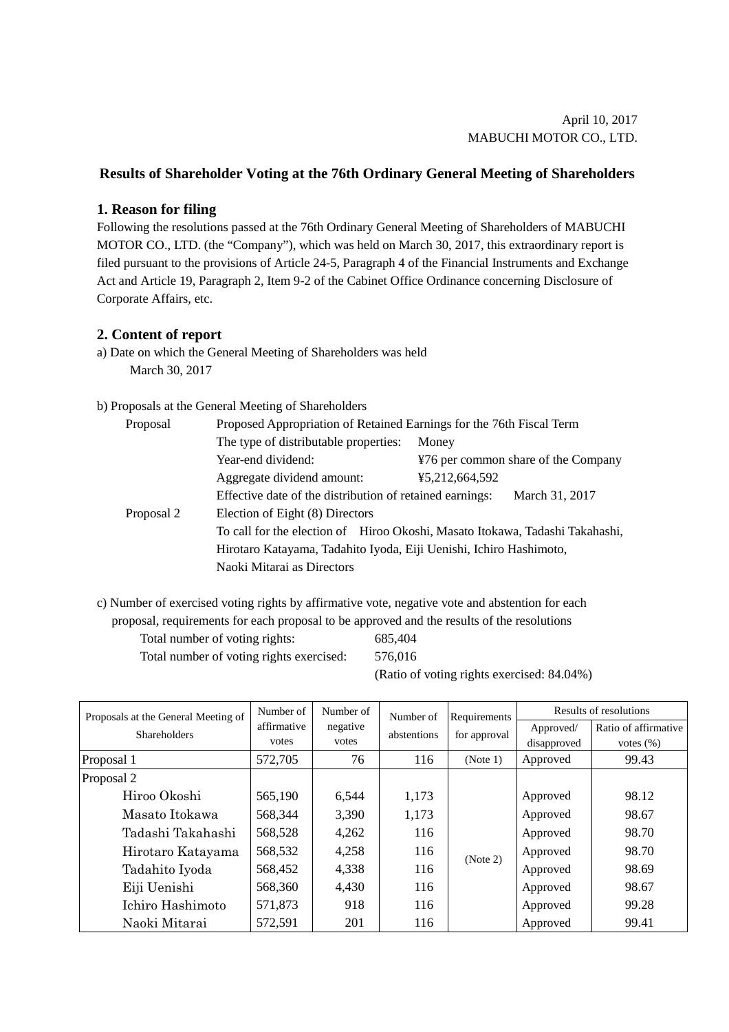## **Results of Shareholder Voting at the 76th Ordinary General Meeting of Shareholders**

## **1. Reason for filing**

Following the resolutions passed at the 76th Ordinary General Meeting of Shareholders of MABUCHI MOTOR CO., LTD. (the "Company"), which was held on March 30, 2017, this extraordinary report is filed pursuant to the provisions of Article 24-5, Paragraph 4 of the Financial Instruments and Exchange Act and Article 19, Paragraph 2, Item 9-2 of the Cabinet Office Ordinance concerning Disclosure of Corporate Affairs, etc.

## **2. Content of report**

a) Date on which the General Meeting of Shareholders was held March 30, 2017

## b) Proposals at the General Meeting of Shareholders

| Proposal   | Proposed Appropriation of Retained Earnings for the 76th Fiscal Term         |                                     |  |  |  |  |
|------------|------------------------------------------------------------------------------|-------------------------------------|--|--|--|--|
|            | The type of distributable properties:                                        | Money                               |  |  |  |  |
|            | Year-end dividend:                                                           | ¥76 per common share of the Company |  |  |  |  |
|            | Aggregate dividend amount:                                                   | ¥5,212,664,592                      |  |  |  |  |
|            | Effective date of the distribution of retained earnings:<br>March 31, 2017   |                                     |  |  |  |  |
| Proposal 2 | Election of Eight (8) Directors                                              |                                     |  |  |  |  |
|            | To call for the election of Hiroo Okoshi, Masato Itokawa, Tadashi Takahashi, |                                     |  |  |  |  |
|            | Hirotaro Katayama, Tadahito Iyoda, Eiji Uenishi, Ichiro Hashimoto,           |                                     |  |  |  |  |
|            | Naoki Mitarai as Directors                                                   |                                     |  |  |  |  |

c) Number of exercised voting rights by affirmative vote, negative vote and abstention for each proposal, requirements for each proposal to be approved and the results of the resolutions

Total number of voting rights: 685,404 Total number of voting rights exercised: 576,016

(Ratio of voting rights exercised: 84.04%)

| Proposals at the General Meeting of | Number of<br>affirmative<br>votes | Number of         | Number of<br>abstentions | Requirements<br>for approval | Results of resolutions |                      |
|-------------------------------------|-----------------------------------|-------------------|--------------------------|------------------------------|------------------------|----------------------|
| <b>Shareholders</b>                 |                                   | negative<br>votes |                          |                              | Approved/              | Ratio of affirmative |
|                                     |                                   |                   |                          |                              | disapproved            | votes $(\%)$         |
| Proposal 1                          | 572,705                           | 76                | 116                      | (Note 1)                     | Approved               | 99.43                |
| Proposal 2                          |                                   |                   |                          |                              |                        |                      |
| Hiroo Okoshi                        | 565,190                           | 6,544             | 1,173                    |                              | Approved               | 98.12                |
| Masato Itokawa                      | 568,344                           | 3,390             | 1,173                    | (Note 2)                     | Approved               | 98.67                |
| Tadashi Takahashi                   | 568,528                           | 4,262             | 116                      |                              | Approved               | 98.70                |
| Hirotaro Katayama                   | 568,532                           | 4,258             | 116                      |                              | Approved               | 98.70                |
| Tadahito Iyoda                      | 568,452                           | 4,338             | 116                      |                              | Approved               | 98.69                |
| Eiji Uenishi                        | 568,360                           | 4,430             | 116                      |                              | Approved               | 98.67                |
| Ichiro Hashimoto                    | 571,873                           | 918               | 116                      |                              | Approved               | 99.28                |
| Naoki Mitarai                       | 572,591                           | 201               | 116                      |                              | Approved               | 99.41                |